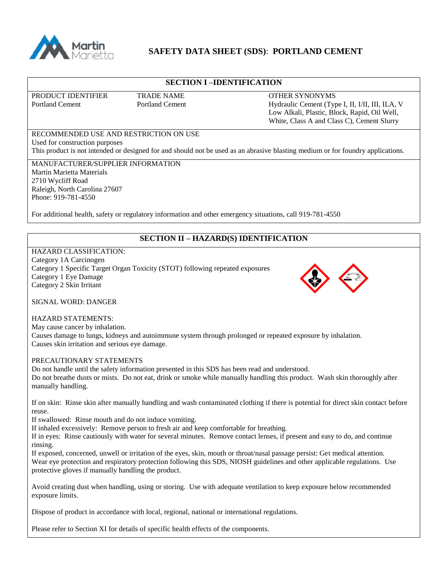

# **SAFETY DATA SHEET (SDS)**: **PORTLAND CEMENT**

## **SECTION I –IDENTIFICATION**

PRODUCT IDENTIFIER TRADE NAME **TRADE OTHER SYNONYMS** 

Portland Cement Portland Cement Portland Cement Hydraulic Cement (Type I, II, I/II, III, ILA, V Low Alkali, Plastic, Block, Rapid, Oil Well, White, Class A and Class C), Cement Slurry

#### RECOMMENDED USE AND RESTRICTION ON USE Used for construction purposes This product is not intended or designed for and should not be used as an abrasive blasting medium or for foundry applications.

MANUFACTURER/SUPPLIER INFORMATION Martin Marietta Materials 2710 Wycliff Road Raleigh, North Carolina 27607 Phone: 919-781-4550

For additional health, safety or regulatory information and other emergency situations, call 919-781-4550

## **SECTION II – HAZARD(S) IDENTIFICATION**

#### HAZARD CLASSIFICATION: Category 1A Carcinogen Category 1 Specific Target Organ Toxicity (STOT) following repeated exposures Category 1 Eye Damage Category 2 Skin Irritant



SIGNAL WORD: DANGER

#### HAZARD STATEMENTS:

May cause cancer by inhalation. Causes damage to lungs, kidneys and autoimmune system through prolonged or repeated exposure by inhalation. Causes skin irritation and serious eye damage.

#### PRECAUTIONARY STATEMENTS

Do not handle until the safety information presented in this SDS has been read and understood. Do not breathe dusts or mists. Do not eat, drink or smoke while manually handling this product. Wash skin thoroughly after manually handling.

If on skin: Rinse skin after manually handling and wash contaminated clothing if there is potential for direct skin contact before reuse.

If swallowed: Rinse mouth and do not induce vomiting.

If inhaled excessively: Remove person to fresh air and keep comfortable for breathing.

If in eyes: Rinse cautiously with water for several minutes. Remove contact lenses, if present and easy to do, and continue rinsing.

If exposed, concerned, unwell or irritation of the eyes, skin, mouth or throat/nasal passage persist: Get medical attention. Wear eye protection and respiratory protection following this SDS, NIOSH guidelines and other applicable regulations. Use protective gloves if manually handling the product.

Avoid creating dust when handling, using or storing. Use with adequate ventilation to keep exposure below recommended exposure limits.

Dispose of product in accordance with local, regional, national or international regulations.

Please refer to Section XI for details of specific health effects of the components.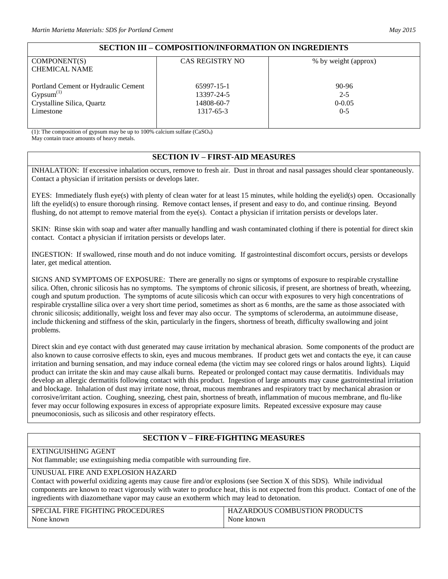# **SECTION III – COMPOSITION/INFORMATION ON INGREDIENTS**

| COMPONENT(S)                        | <b>CAS REGISTRY NO</b> | % by weight (approx) |
|-------------------------------------|------------------------|----------------------|
|                                     |                        |                      |
| <b>CHEMICAL NAME</b>                |                        |                      |
|                                     |                        |                      |
| Portland Cement or Hydraulic Cement | 65997-15-1             | 90-96                |
|                                     |                        |                      |
| $Gypsum^{(1)}$                      | 13397-24-5             | $2 - 5$              |
| Crystalline Silica, Quartz          | 14808-60-7             | $0 - 0.05$           |
| Limestone                           | 1317-65-3              | $0 - 5$              |
|                                     |                        |                      |
|                                     |                        |                      |

(1): The composition of gypsum may be up to 100% calcium sulfate  $(CaSO<sub>4</sub>)$ May contain trace amounts of heavy metals.

# **SECTION IV – FIRST-AID MEASURES**

INHALATION: If excessive inhalation occurs, remove to fresh air. Dust in throat and nasal passages should clear spontaneously. Contact a physician if irritation persists or develops later.

EYES: Immediately flush eye(s) with plenty of clean water for at least 15 minutes, while holding the eyelid(s) open. Occasionally lift the eyelid(s) to ensure thorough rinsing. Remove contact lenses, if present and easy to do, and continue rinsing. Beyond flushing, do not attempt to remove material from the eye(s). Contact a physician if irritation persists or develops later.

SKIN: Rinse skin with soap and water after manually handling and wash contaminated clothing if there is potential for direct skin contact. Contact a physician if irritation persists or develops later.

INGESTION: If swallowed, rinse mouth and do not induce vomiting. If gastrointestinal discomfort occurs, persists or develops later, get medical attention.

SIGNS AND SYMPTOMS OF EXPOSURE: There are generally no signs or symptoms of exposure to respirable crystalline silica. Often, chronic silicosis has no symptoms. The symptoms of chronic silicosis, if present, are shortness of breath, wheezing, cough and sputum production. The symptoms of acute silicosis which can occur with exposures to very high concentrations of respirable crystalline silica over a very short time period, sometimes as short as 6 months, are the same as those associated with chronic silicosis; additionally, weight loss and fever may also occur. The symptoms of scleroderma, an autoimmune disease, include thickening and stiffness of the skin, particularly in the fingers, shortness of breath, difficulty swallowing and joint problems.

Direct skin and eye contact with dust generated may cause irritation by mechanical abrasion. Some components of the product are also known to cause corrosive effects to skin, eyes and mucous membranes. If product gets wet and contacts the eye, it can cause irritation and burning sensation, and may induce corneal edema (the victim may see colored rings or halos around lights). Liquid product can irritate the skin and may cause alkali burns. Repeated or prolonged contact may cause dermatitis. Individuals may develop an allergic dermatitis following contact with this product. Ingestion of large amounts may cause gastrointestinal irritation and blockage. Inhalation of dust may irritate nose, throat, mucous membranes and respiratory tract by mechanical abrasion or corrosive/irritant action. Coughing, sneezing, chest pain, shortness of breath, inflammation of mucous membrane, and flu-like fever may occur following exposures in excess of appropriate exposure limits. Repeated excessive exposure may cause pneumoconiosis, such as silicosis and other respiratory effects.

# **SECTION V – FIRE-FIGHTING MEASURES**

# EXTINGUISHING AGENT

Not flammable; use extinguishing media compatible with surrounding fire.

#### UNUSUAL FIRE AND EXPLOSION HAZARD

Contact with powerful oxidizing agents may cause fire and/or explosions (see Section X of this SDS). While individual components are known to react vigorously with water to produce heat, this is not expected from this product. Contact of one of the ingredients with diazomethane vapor may cause an exotherm which may lead to detonation.

| <b>SPECIAL FIRE FIGHTING PROCEDURES</b> | HAZARDOUS COMBUSTION PRODUCTS |
|-----------------------------------------|-------------------------------|
| None known                              | None known                    |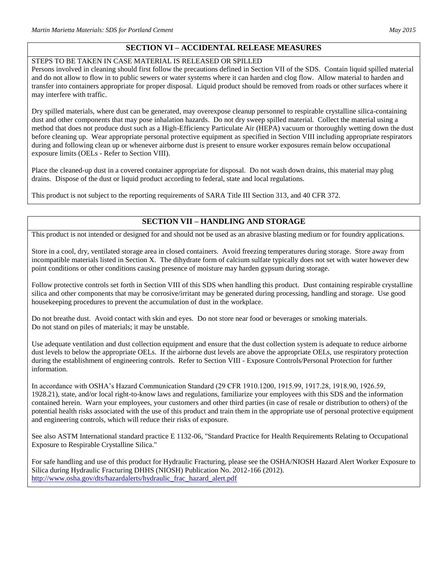# **SECTION VI – ACCIDENTAL RELEASE MEASURES**

#### STEPS TO BE TAKEN IN CASE MATERIAL IS RELEASED OR SPILLED

Persons involved in cleaning should first follow the precautions defined in Section VII of the SDS. Contain liquid spilled material and do not allow to flow in to public sewers or water systems where it can harden and clog flow. Allow material to harden and transfer into containers appropriate for proper disposal. Liquid product should be removed from roads or other surfaces where it may interfere with traffic.

Dry spilled materials, where dust can be generated, may overexpose cleanup personnel to respirable crystalline silica-containing dust and other components that may pose inhalation hazards. Do not dry sweep spilled material. Collect the material using a method that does not produce dust such as a High-Efficiency Particulate Air (HEPA) vacuum or thoroughly wetting down the dust before cleaning up. Wear appropriate personal protective equipment as specified in Section VIII including appropriate respirators during and following clean up or whenever airborne dust is present to ensure worker exposures remain below occupational exposure limits (OELs - Refer to Section VIII).

Place the cleaned-up dust in a covered container appropriate for disposal. Do not wash down drains, this material may plug drains. Dispose of the dust or liquid product according to federal, state and local regulations.

This product is not subject to the reporting requirements of SARA Title III Section 313, and 40 CFR 372.

# **SECTION VII – HANDLING AND STORAGE**

This product is not intended or designed for and should not be used as an abrasive blasting medium or for foundry applications.

Store in a cool, dry, ventilated storage area in closed containers. Avoid freezing temperatures during storage. Store away from incompatible materials listed in Section X. The dihydrate form of calcium sulfate typically does not set with water however dew point conditions or other conditions causing presence of moisture may harden gypsum during storage.

Follow protective controls set forth in Section VIII of this SDS when handling this product. Dust containing respirable crystalline silica and other components that may be corrosive/irritant may be generated during processing, handling and storage. Use good housekeeping procedures to prevent the accumulation of dust in the workplace.

Do not breathe dust. Avoid contact with skin and eyes. Do not store near food or beverages or smoking materials. Do not stand on piles of materials; it may be unstable.

Use adequate ventilation and dust collection equipment and ensure that the dust collection system is adequate to reduce airborne dust levels to below the appropriate OELs. If the airborne dust levels are above the appropriate OELs, use respiratory protection during the establishment of engineering controls. Refer to Section VIII - Exposure Controls/Personal Protection for further information.

In accordance with OSHA's Hazard Communication Standard (29 CFR 1910.1200, 1915.99, 1917.28, 1918.90, 1926.59, 1928.21), state, and/or local right-to-know laws and regulations, familiarize your employees with this SDS and the information contained herein. Warn your employees, your customers and other third parties (in case of resale or distribution to others) of the potential health risks associated with the use of this product and train them in the appropriate use of personal protective equipment and engineering controls, which will reduce their risks of exposure.

See also ASTM International standard practice E 1132-06, "Standard Practice for Health Requirements Relating to Occupational Exposure to Respirable Crystalline Silica."

For safe handling and use of this product for Hydraulic Fracturing, please see the OSHA/NIOSH Hazard Alert Worker Exposure to Silica during Hydraulic Fracturing DHHS (NIOSH) Publication No. 2012-166 (2012). [http://www.osha.gov/dts/hazardalerts/hydraulic\\_frac\\_hazard\\_alert.pdf](http://www.osha.gov/dts/hazardalerts/hydraulic_frac_hazard_alert.pdf)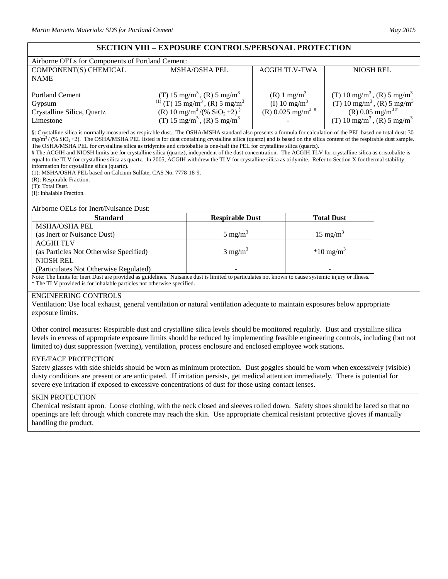# **SECTION VIII – EXPOSURE CONTROLS/PERSONAL PROTECTION**

| Airborne OELs for Components of Portland Cement:                            |                                                                                                                                                                                                                                                 |                                                                                        |                                                                                                                                                                                               |
|-----------------------------------------------------------------------------|-------------------------------------------------------------------------------------------------------------------------------------------------------------------------------------------------------------------------------------------------|----------------------------------------------------------------------------------------|-----------------------------------------------------------------------------------------------------------------------------------------------------------------------------------------------|
| COMPONENT(S) CHEMICAL                                                       | <b>MSHA/OSHA PEL</b>                                                                                                                                                                                                                            | <b>ACGIH TLV-TWA</b>                                                                   | <b>NIOSH REL</b>                                                                                                                                                                              |
| <b>NAME</b>                                                                 |                                                                                                                                                                                                                                                 |                                                                                        |                                                                                                                                                                                               |
| <b>Portland Cement</b><br>Gypsum<br>Crystalline Silica, Quartz<br>Limestone | (T) 15 mg/m <sup>3</sup> , (R) 5 mg/m <sup>3</sup><br><sup>(1)</sup> (T) 15 mg/m <sup>3</sup> , (R) 5 mg/m <sup>3</sup><br>(R) 10 mg/m <sup>3</sup> /(% SiO <sub>2</sub> +2) <sup>§</sup><br>(T) 15 mg/m <sup>3</sup> , (R) 5 mg/m <sup>3</sup> | $(R)$ 1 mg/m <sup>3</sup><br>(I) 10 mg/m <sup>3</sup><br>(R) 0.025 mg/m <sup>3 #</sup> | (T) 10 mg/m <sup>3</sup> , (R) 5 mg/m <sup>3</sup><br>(T) 10 mg/m <sup>3</sup> , (R) 5 mg/m <sup>3</sup><br>(R) 0.05 mg/m <sup>3#</sup><br>(T) 10 mg/m <sup>3</sup> , (R) 5 mg/m <sup>3</sup> |

§: Crystalline silica is normally measured as respirable dust. The OSHA/MSHA standard also presents a formula for calculation of the PEL based on total dust: 30  $\text{mg/m}^3$  (% SiO<sub>2</sub>+2). The OSHA/MSHA PEL listed is for dust containing crystalline silica (quartz) and is based on the silica content of the respirable dust sample. The OSHA/MSHA PEL for crystalline silica as tridymite and cristobalite is one-half the PEL for crystalline silica (quartz).

**#** The ACGIH and NIOSH limits are for crystalline silica (quartz), independent of the dust concentration. The ACGIH TLV for crystalline silica as cristobalite is equal to the TLV for crystalline silica as quartz. In 2005, ACGIH withdrew the TLV for crystalline silica as tridymite. Refer to Section X for thermal stability information for crystalline silica (quartz).

(1): MSHA/OSHA PEL based on Calcium Sulfate, CAS No. 7778-18-9.

(R): Respirable Fraction.

(T): Total Dust.

(I): Inhalable Fraction.

#### Airborne OELs for Inert/Nuisance Dust:

| <b>Standard</b>                        | <b>Respirable Dust</b> | <b>Total Dust</b>    |
|----------------------------------------|------------------------|----------------------|
| <b>MSHA/OSHA PEL</b>                   |                        |                      |
| (as Inert or Nuisance Dust)            | $5 \text{ mg/m}^3$     | $15 \text{ mg/m}^3$  |
| <b>ACGIH TLV</b>                       |                        |                      |
| (as Particles Not Otherwise Specified) | $3 \text{ mg/m}^3$     | $*10 \text{ mg/m}^3$ |
| NIOSH REL                              |                        |                      |
| (Particulates Not Otherwise Regulated) | -                      | -                    |

Note: The limits for Inert Dust are provided as guidelines. Nuisance dust is limited to particulates not known to cause systemic injury or illness. \* The TLV provided is for inhalable particles not otherwise specified.

#### ENGINEERING CONTROLS

Ventilation: Use local exhaust, general ventilation or natural ventilation adequate to maintain exposures below appropriate exposure limits.

Other control measures: Respirable dust and crystalline silica levels should be monitored regularly. Dust and crystalline silica levels in excess of appropriate exposure limits should be reduced by implementing feasible engineering controls, including (but not limited to) dust suppression (wetting), ventilation, process enclosure and enclosed employee work stations.

#### EYE/FACE PROTECTION

Safety glasses with side shields should be worn as minimum protection. Dust goggles should be worn when excessively (visible) dusty conditions are present or are anticipated. If irritation persists, get medical attention immediately. There is potential for severe eye irritation if exposed to excessive concentrations of dust for those using contact lenses.

#### SKIN PROTECTION

Chemical resistant apron. Loose clothing, with the neck closed and sleeves rolled down. Safety shoes should be laced so that no openings are left through which concrete may reach the skin. Use appropriate chemical resistant protective gloves if manually handling the product.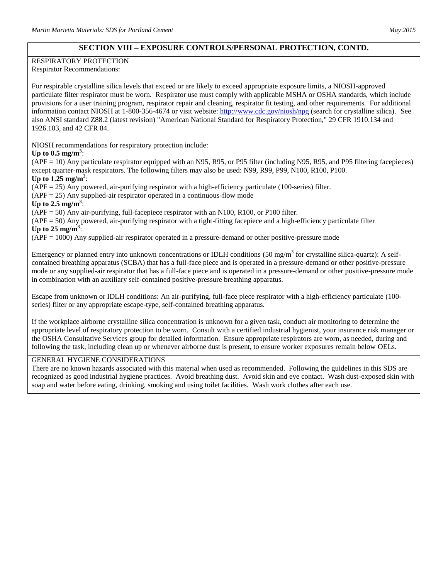# **SECTION VIII – EXPOSURE CONTROLS/PERSONAL PROTECTION, CONTD.**

## RESPIRATORY PROTECTION

Respirator Recommendations:

For respirable crystalline silica levels that exceed or are likely to exceed appropriate exposure limits, a NIOSH-approved particulate filter respirator must be worn. Respirator use must comply with applicable MSHA or OSHA standards, which include provisions for a user training program, respirator repair and cleaning, respirator fit testing, and other requirements. For additional information contact NIOSH at 1-800-356-4674 or visit website:<http://www.cdc.gov/niosh/npg> (search for crystalline silica). See also ANSI standard Z88.2 (latest revision) "American National Standard for Respiratory Protection," 29 CFR 1910.134 and 1926.103, and 42 CFR 84.

NIOSH recommendations for respiratory protection include:

#### Up to  $0.5$  mg/m<sup>3</sup>:

(APF = 10) Any particulate respirator equipped with an N95, R95, or P95 filter (including N95, R95, and P95 filtering facepieces) except quarter-mask respirators. The following filters may also be used: N99, R99, P99, N100, R100, P100.

Up to  $1.25$  mg/m<sup>3</sup>:

(APF = 25) Any powered, air-purifying respirator with a high-efficiency particulate (100-series) filter.

 $(APF = 25)$  Any supplied-air respirator operated in a continuous-flow mode

Up to  $2.5 \text{ mg/m}^3$ :

(APF = 50) Any air-purifying, full-facepiece respirator with an N100, R100, or P100 filter.

(APF = 50) Any powered, air-purifying respirator with a tight-fitting facepiece and a high-efficiency particulate filter Up to  $25 \text{ mg/m}^3$ :

(APF = 1000) Any supplied-air respirator operated in a pressure-demand or other positive-pressure mode

Emergency or planned entry into unknown concentrations or IDLH conditions (50 mg/m<sup>3</sup> for crystalline silica-quartz): A selfcontained breathing apparatus (SCBA) that has a full-face piece and is operated in a pressure-demand or other positive-pressure mode or any supplied-air respirator that has a full-face piece and is operated in a pressure-demand or other positive-pressure mode in combination with an auxiliary self-contained positive-pressure breathing apparatus.

Escape from unknown or IDLH conditions: An air-purifying, full-face piece respirator with a high-efficiency particulate (100 series) filter or any appropriate escape-type, self-contained breathing apparatus.

If the workplace airborne crystalline silica concentration is unknown for a given task, conduct air monitoring to determine the appropriate level of respiratory protection to be worn. Consult with a certified industrial hygienist, your insurance risk manager or the OSHA Consultative Services group for detailed information. Ensure appropriate respirators are worn, as needed, during and following the task, including clean up or whenever airborne dust is present, to ensure worker exposures remain below OELs.

#### GENERAL HYGIENE CONSIDERATIONS

There are no known hazards associated with this material when used as recommended. Following the guidelines in this SDS are recognized as good industrial hygiene practices. Avoid breathing dust. Avoid skin and eye contact. Wash dust-exposed skin with soap and water before eating, drinking, smoking and using toilet facilities. Wash work clothes after each use.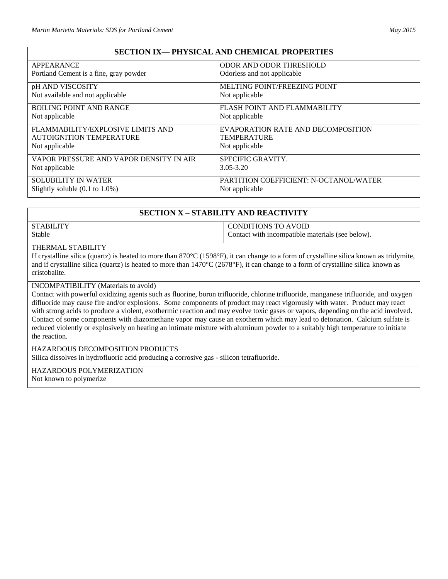# **SECTION IX— PHYSICAL AND CHEMICAL PROPERTIES**

| APPEARANCE                                 | <b>ODOR AND ODOR THRESHOLD</b>                |
|--------------------------------------------|-----------------------------------------------|
| Portland Cement is a fine, gray powder     | Odorless and not applicable                   |
| pH AND VISCOSITY                           | <b>MELTING POINT/FREEZING POINT</b>           |
| Not available and not applicable           | Not applicable                                |
| <b>BOILING POINT AND RANGE</b>             | FLASH POINT AND FLAMMABILITY                  |
| Not applicable                             | Not applicable                                |
| FLAMMABILITY/EXPLOSIVE LIMITS AND          | EVAPORATION RATE AND DECOMPOSITION            |
| AUTOIGNITION TEMPERATURE                   | <b>TEMPERATURE</b>                            |
| Not applicable                             | Not applicable                                |
| VAPOR PRESSURE AND VAPOR DENSITY IN AIR    | SPECIFIC GRAVITY.                             |
| Not applicable                             | $3.05 - 3.20$                                 |
| <b>SOLUBILITY IN WATER</b>                 | <b>PARTITION COEFFICIENT: N-OCTANOL/WATER</b> |
| Slightly soluble $(0.1 \text{ to } 1.0\%)$ | Not applicable                                |

# **SECTION X – STABILITY AND REACTIVITY**

| STABILITY | <b>CONDITIONS TO AVOID</b>                       |
|-----------|--------------------------------------------------|
| Stable    | Contact with incompatible materials (see below). |

#### THERMAL STABILITY

If crystalline silica (quartz) is heated to more than 870°C (1598°F), it can change to a form of crystalline silica known as tridymite, and if crystalline silica (quartz) is heated to more than  $1470^{\circ}C(2678^{\circ}F)$ , it can change to a form of crystalline silica known as cristobalite.

## INCOMPATIBILITY (Materials to avoid)

Contact with powerful oxidizing agents such as fluorine, boron trifluoride, chlorine trifluoride, manganese trifluoride, and oxygen difluoride may cause fire and/or explosions. Some components of product may react vigorously with water. Product may react with strong acids to produce a violent, exothermic reaction and may evolve toxic gases or vapors, depending on the acid involved. Contact of some components with diazomethane vapor may cause an exotherm which may lead to detonation. Calcium sulfate is reduced violently or explosively on heating an intimate mixture with aluminum powder to a suitably high temperature to initiate the reaction.

#### HAZARDOUS DECOMPOSITION PRODUCTS

Silica dissolves in hydrofluoric acid producing a corrosive gas - silicon tetrafluoride.

HAZARDOUS POLYMERIZATION Not known to polymerize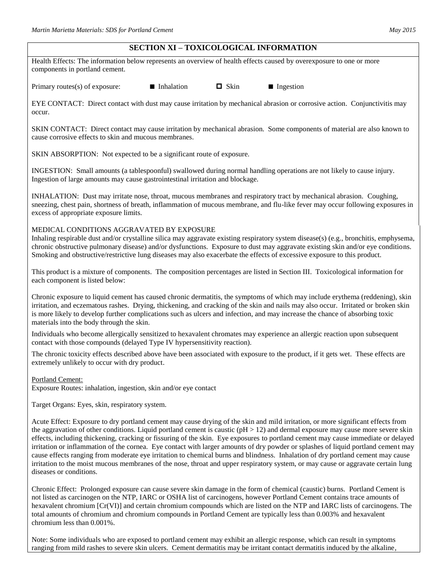# **SECTION XI – TOXICOLOGICAL INFORMATION**

Health Effects: The information below represents an overview of health effects caused by overexposure to one or more components in portland cement.

Primary routes(s) of exposure:  $\blacksquare$  Inhalation  $\blacksquare$  Skin  $\blacksquare$  Ingestion

EYE CONTACT: Direct contact with dust may cause irritation by mechanical abrasion or corrosive action. Conjunctivitis may occur.

SKIN CONTACT: Direct contact may cause irritation by mechanical abrasion. Some components of material are also known to cause corrosive effects to skin and mucous membranes.

SKIN ABSORPTION: Not expected to be a significant route of exposure.

INGESTION: Small amounts (a tablespoonful) swallowed during normal handling operations are not likely to cause injury. Ingestion of large amounts may cause gastrointestinal irritation and blockage.

INHALATION: Dust may irritate nose, throat, mucous membranes and respiratory tract by mechanical abrasion. Coughing, sneezing, chest pain, shortness of breath, inflammation of mucous membrane, and flu-like fever may occur following exposures in excess of appropriate exposure limits.

## MEDICAL CONDITIONS AGGRAVATED BY EXPOSURE

Inhaling respirable dust and/or crystalline silica may aggravate existing respiratory system disease(s) (e.g., bronchitis, emphysema, chronic obstructive pulmonary disease) and/or dysfunctions. Exposure to dust may aggravate existing skin and/or eye conditions. Smoking and obstructive/restrictive lung diseases may also exacerbate the effects of excessive exposure to this product.

This product is a mixture of components. The composition percentages are listed in Section III. Toxicological information for each component is listed below:

Chronic exposure to liquid cement has caused chronic dermatitis, the symptoms of which may include erythema (reddening), skin irritation, and eczematous rashes. Drying, thickening, and cracking of the skin and nails may also occur. Irritated or broken skin is more likely to develop further complications such as ulcers and infection, and may increase the chance of absorbing toxic materials into the body through the skin.

Individuals who become allergically sensitized to hexavalent chromates may experience an allergic reaction upon subsequent contact with those compounds (delayed Type IV hypersensitivity reaction).

The chronic toxicity effects described above have been associated with exposure to the product, if it gets wet. These effects are extremely unlikely to occur with dry product.

Portland Cement:

Exposure Routes: inhalation, ingestion, skin and/or eye contact

Target Organs: Eyes, skin, respiratory system.

Acute Effect: Exposure to dry portland cement may cause drying of the skin and mild irritation, or more significant effects from the aggravation of other conditions. Liquid portland cement is caustic  $(pH > 12)$  and dermal exposure may cause more severe skin effects, including thickening, cracking or fissuring of the skin. Eye exposures to portland cement may cause immediate or delayed irritation or inflammation of the cornea. Eye contact with larger amounts of dry powder or splashes of liquid portland cement may cause effects ranging from moderate eye irritation to chemical burns and blindness. Inhalation of dry portland cement may cause irritation to the moist mucous membranes of the nose, throat and upper respiratory system, or may cause or aggravate certain lung diseases or conditions.

Chronic Effect: Prolonged exposure can cause severe skin damage in the form of chemical (caustic) burns. Portland Cement is not listed as carcinogen on the NTP, IARC or OSHA list of carcinogens, however Portland Cement contains trace amounts of hexavalent chromium [Cr(VI)] and certain chromium compounds which are listed on the NTP and IARC lists of carcinogens. The total amounts of chromium and chromium compounds in Portland Cement are typically less than 0.003% and hexavalent chromium less than 0.001%.

Note: Some individuals who are exposed to portland cement may exhibit an allergic response, which can result in symptoms ranging from mild rashes to severe skin ulcers. Cement dermatitis may be irritant contact dermatitis induced by the alkaline,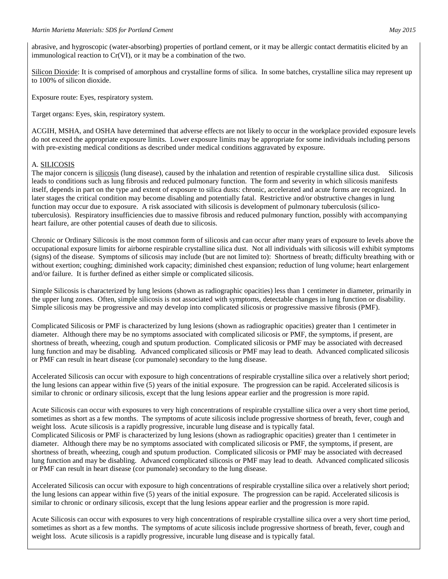#### *Martin Marietta Materials: SDS for Portland Cement May 2015*

abrasive, and hygroscopic (water-absorbing) properties of portland cement, or it may be allergic contact dermatitis elicited by an immunological reaction to Cr(VI), or it may be a combination of the two.

Silicon Dioxide: It is comprised of amorphous and crystalline forms of silica. In some batches, crystalline silica may represent up to 100% of silicon dioxide.

Exposure route: Eyes, respiratory system.

Target organs: Eyes, skin, respiratory system.

ACGIH, MSHA, and OSHA have determined that adverse effects are not likely to occur in the workplace provided exposure levels do not exceed the appropriate exposure limits. Lower exposure limits may be appropriate for some individuals including persons with pre-existing medical conditions as described under medical conditions aggravated by exposure.

#### A. SILICOSIS

The major concern is silicosis (lung disease), caused by the inhalation and retention of respirable crystalline silica dust. Silicosis leads to conditions such as lung fibrosis and reduced pulmonary function. The form and severity in which silicosis manifests itself, depends in part on the type and extent of exposure to silica dusts: chronic, accelerated and acute forms are recognized. In later stages the critical condition may become disabling and potentially fatal. Restrictive and/or obstructive changes in lung function may occur due to exposure. A risk associated with silicosis is development of pulmonary tuberculosis (silicotuberculosis). Respiratory insufficiencies due to massive fibrosis and reduced pulmonary function, possibly with accompanying heart failure, are other potential causes of death due to silicosis.

Chronic or Ordinary Silicosis is the most common form of silicosis and can occur after many years of exposure to levels above the occupational exposure limits for airborne respirable crystalline silica dust. Not all individuals with silicosis will exhibit symptoms (signs) of the disease. Symptoms of silicosis may include (but are not limited to): Shortness of breath; difficulty breathing with or without exertion; coughing; diminished work capacity; diminished chest expansion; reduction of lung volume; heart enlargement and/or failure. It is further defined as either simple or complicated silicosis.

Simple Silicosis is characterized by lung lesions (shown as radiographic opacities) less than 1 centimeter in diameter, primarily in the upper lung zones. Often, simple silicosis is not associated with symptoms, detectable changes in lung function or disability. Simple silicosis may be progressive and may develop into complicated silicosis or progressive massive fibrosis (PMF).

Complicated Silicosis or PMF is characterized by lung lesions (shown as radiographic opacities) greater than 1 centimeter in diameter. Although there may be no symptoms associated with complicated silicosis or PMF, the symptoms, if present, are shortness of breath, wheezing, cough and sputum production. Complicated silicosis or PMF may be associated with decreased lung function and may be disabling. Advanced complicated silicosis or PMF may lead to death. Advanced complicated silicosis or PMF can result in heart disease (cor pumonale) secondary to the lung disease.

Accelerated Silicosis can occur with exposure to high concentrations of respirable crystalline silica over a relatively short period; the lung lesions can appear within five (5) years of the initial exposure. The progression can be rapid. Accelerated silicosis is similar to chronic or ordinary silicosis, except that the lung lesions appear earlier and the progression is more rapid.

Acute Silicosis can occur with exposures to very high concentrations of respirable crystalline silica over a very short time period, sometimes as short as a few months. The symptoms of acute silicosis include progressive shortness of breath, fever, cough and weight loss. Acute silicosis is a rapidly progressive, incurable lung disease and is typically fatal. Complicated Silicosis or PMF is characterized by lung lesions (shown as radiographic opacities) greater than 1 centimeter in diameter. Although there may be no symptoms associated with complicated silicosis or PMF, the symptoms, if present, are shortness of breath, wheezing, cough and sputum production. Complicated silicosis or PMF may be associated with decreased lung function and may be disabling. Advanced complicated silicosis or PMF may lead to death. Advanced complicated silicosis or PMF can result in heart disease (cor pumonale) secondary to the lung disease.

Accelerated Silicosis can occur with exposure to high concentrations of respirable crystalline silica over a relatively short period; the lung lesions can appear within five (5) years of the initial exposure. The progression can be rapid. Accelerated silicosis is similar to chronic or ordinary silicosis, except that the lung lesions appear earlier and the progression is more rapid.

Acute Silicosis can occur with exposures to very high concentrations of respirable crystalline silica over a very short time period, sometimes as short as a few months. The symptoms of acute silicosis include progressive shortness of breath, fever, cough and weight loss. Acute silicosis is a rapidly progressive, incurable lung disease and is typically fatal.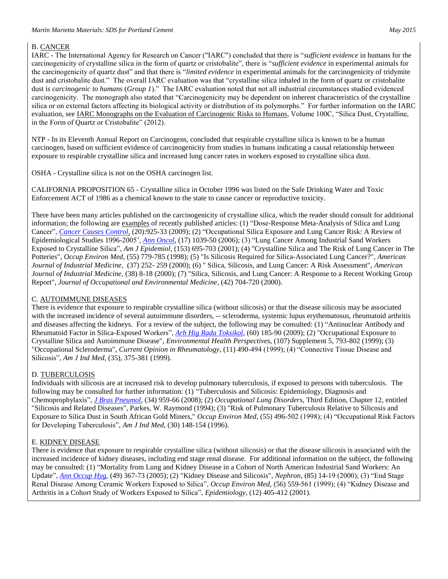## B. CANCER

IARC - The International Agency for Research on Cancer ("IARC") concluded that there is "*sufficient evidence* in humans for the carcinogenicity of crystalline silica in the form of quartz or cristobalite", there is "*sufficient evidence* in experimental animals for the carcinogenicity of quartz dust" and that there is "*limited evidence* in experimental animals for the carcinogenicity of tridymite dust and cristobalite dust." The overall IARC evaluation was that "crystalline silica inhaled in the form of quartz or cristobalite dust is *carcinogenic to humans* (*Group 1*)." The IARC evaluation noted that not all industrial circumstances studied evidenced carcinogenicity. The monograph also stated that "Carcinogenicity may be dependent on inherent characteristics of the crystalline silica or on external factors affecting its biological activity or distribution of its polymorphs." For further information on the IARC evaluation, see IARC Monographs on the Evaluation of Carcinogenic Risks to Humans, Volume 100C, "Silica Dust, Crystalline, in the Form of Quartz or Cristobalite" (2012).

NTP - In its Eleventh Annual Report on Carcinogens, concluded that respirable crystalline silica is known to be a human carcinogen, based on sufficient evidence of carcinogenicity from studies in humans indicating a causal relationship between exposure to respirable crystalline silica and increased lung cancer rates in workers exposed to crystalline silica dust.

OSHA - Crystalline silica is not on the OSHA carcinogen list.

CALIFORNIA PROPOSITION 65 - Crystalline silica in October 1996 was listed on the Safe Drinking Water and Toxic Enforcement ACT of 1986 as a chemical known to the state to cause cancer or reproductive toxicity.

There have been many articles published on the carcinogenicity of crystalline silica, which the reader should consult for additional information; the following are examples of recently published articles: (1) "Dose-Response Meta-Analysis of Silica and Lung Cancer", *[Cancer Causes Control](javascript:AL_get(this,%20)*, (20):925-33 (2009); (2) "Occupational Silica Exposure and Lung Cancer Risk: A Review of Epidemiological Studies 1996-2005', *[Ann Oncol](javascript:AL_get(this,%20)*, (17) 1039-50 (2006); (3) "Lung Cancer Among Industrial Sand Workers Exposed to Crystalline Silica", *Am J Epidemiol*, (153) 695-703 (2001); (4) "Crystalline Silica and The Risk of Lung Cancer in The Potteries", *Occup Environ Med*, (55) 779-785 (1998); (5) "Is Silicosis Required for Silica-Associated Lung Cancer?", *American Journal of Industrial Medicine*, (37) 252- 259 (2000); (6) " Silica, Silicosis, and Lung Cancer: A Risk Assessment", *American Journal of Industrial Medicine*, (38) 8-18 (2000); (7) "Silica, Silicosis, and Lung Cancer: A Response to a Recent Working Group Report", *Journal of Occupational and Environmental Medicine*, (42) 704-720 (2000).

## C. AUTOIMMUNE DISEASES

There is evidence that exposure to respirable crystalline silica (without silicosis) or that the disease silicosis may be associated with the increased incidence of several autoimmune disorders, -- scleroderma, systemic lupus erythematosus, rheumatoid arthritis and diseases affecting the kidneys. For a review of the subject, the following may be consulted: (1) "Antinuclear Antibody and Rheumatoid Factor in Silica-Exposed Workers", *[Arh Hig Rada Toksikol](javascript:AL_get(this,%20)*, (60) 185-90 (2009); (2) "Occupational Exposure to Crystalline Silica and Autoimmune Disease", *Environmental Health Perspectives*, (107) Supplement 5, 793-802 (1999); (3) "Occupational Scleroderma", *Current Opinion in Rheumatology*, (11) 490-494 (1999); (4) "Connective Tissue Disease and Silicosis", *Am J Ind Med*, (35), 375-381 (1999).

## D. TUBERCULOSIS

Individuals with silicosis are at increased risk to develop pulmonary tuberculosis, if exposed to persons with tuberculosis. The following may be consulted for further information: (1) "Tuberculosis and Silicosis: Epidemiology, Diagnosis and Chemoprophylaxis", *[J Bras Pneumol](javascript:AL_get(this,%20)*, (34) 959-66 (2008); (2) *Occupational Lung Disorders*, Third Edition, Chapter 12, entitled "Silicosis and Related Diseases", Parkes, W. Raymond (1994); (3) "Risk of Pulmonary Tuberculosis Relative to Silicosis and Exposure to Silica Dust in South African Gold Miners," *Occup Environ Med*, (55) 496-502 (1998); (4) "Occupational Risk Factors for Developing Tuberculosis", *Am J Ind Med*, (30) 148-154 (1996).

## E. KIDNEY DISEASE

There is evidence that exposure to respirable crystalline silica (without silicosis) or that the disease silicosis is associated with the increased incidence of kidney diseases, including end stage renal disease. For additional information on the subject, the following may be consulted: (1) "Mortality from Lung and Kidney Disease in a Cohort of North American Industrial Sand Workers: An Update", *[Ann Occup Hyg](javascript:AL_get(this,%20)*, (49) 367-73 (2005); (2) "Kidney Disease and Silicosis", *Nephron*, (85) 14-19 (2000); (3) "End Stage Renal Disease Among Ceramic Workers Exposed to Silica", *Occup Environ Med*, (56) 559-561 (1999); (4) "Kidney Disease and Arthritis in a Cohort Study of Workers Exposed to Silica", *Epidemiology*, (12) 405-412 (2001).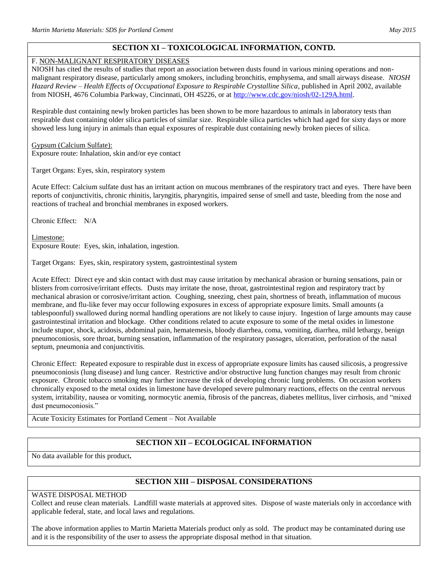# **SECTION XI – TOXICOLOGICAL INFORMATION, CONTD.**

#### F. NON-MALIGNANT RESPIRATORY DISEASES

NIOSH has cited the results of studies that report an association between dusts found in various mining operations and nonmalignant respiratory disease, particularly among smokers, including bronchitis, emphysema, and small airways disease. *NIOSH Hazard Review – Health Effects of Occupational Exposure to Respirable Crystalline Silica*, published in April 2002, available from NIOSH, 4676 Columbia Parkway, Cincinnati, OH 45226, or at [http://www.cdc.gov/niosh/02-129A.html.](http://www.cdc.gov/niosh/02-129A.html)

Respirable dust containing newly broken particles has been shown to be more hazardous to animals in laboratory tests than respirable dust containing older silica particles of similar size. Respirable silica particles which had aged for sixty days or more showed less lung injury in animals than equal exposures of respirable dust containing newly broken pieces of silica.

Gypsum (Calcium Sulfate): Exposure route: Inhalation, skin and/or eye contact

Target Organs: Eyes, skin, respiratory system

Acute Effect: Calcium sulfate dust has an irritant action on mucous membranes of the respiratory tract and eyes. There have been reports of conjunctivitis, chronic rhinitis, laryngitis, pharyngitis, impaired sense of smell and taste, bleeding from the nose and reactions of tracheal and bronchial membranes in exposed workers.

Chronic Effect: N/A

Limestone: Exposure Route: Eyes, skin, inhalation, ingestion.

Target Organs: Eyes, skin, respiratory system, gastrointestinal system

Acute Effect: Direct eye and skin contact with dust may cause irritation by mechanical abrasion or burning sensations, pain or blisters from corrosive/irritant effects. Dusts may irritate the nose, throat, gastrointestinal region and respiratory tract by mechanical abrasion or corrosive/irritant action. Coughing, sneezing, chest pain, shortness of breath, inflammation of mucous membrane, and flu-like fever may occur following exposures in excess of appropriate exposure limits. Small amounts (a tablespoonful) swallowed during normal handling operations are not likely to cause injury. Ingestion of large amounts may cause gastrointestinal irritation and blockage. Other conditions related to acute exposure to some of the metal oxides in limestone include stupor, shock, acidosis, abdominal pain, hematemesis, bloody diarrhea, coma, vomiting, diarrhea, mild lethargy, benign pneumoconiosis, sore throat, burning sensation, inflammation of the respiratory passages, ulceration, perforation of the nasal septum, pneumonia and conjunctivitis.

Chronic Effect: Repeated exposure to respirable dust in excess of appropriate exposure limits has caused silicosis, a progressive pneumoconiosis (lung disease) and lung cancer. Restrictive and/or obstructive lung function changes may result from chronic exposure. Chronic tobacco smoking may further increase the risk of developing chronic lung problems. On occasion workers chronically exposed to the metal oxides in limestone have developed severe pulmonary reactions, effects on the central nervous system, irritability, nausea or vomiting, normocytic anemia, fibrosis of the pancreas, diabetes mellitus, liver cirrhosis, and "mixed dust pneumoconiosis."

Acute Toxicity Estimates for Portland Cement – Not Available

# **SECTION XII – ECOLOGICAL INFORMATION**

No data available for this product**.** 

# **SECTION XIII – DISPOSAL CONSIDERATIONS**

# WASTE DISPOSAL METHOD

Collect and reuse clean materials. Landfill waste materials at approved sites. Dispose of waste materials only in accordance with applicable federal, state, and local laws and regulations.

The above information applies to Martin Marietta Materials product only as sold. The product may be contaminated during use and it is the responsibility of the user to assess the appropriate disposal method in that situation.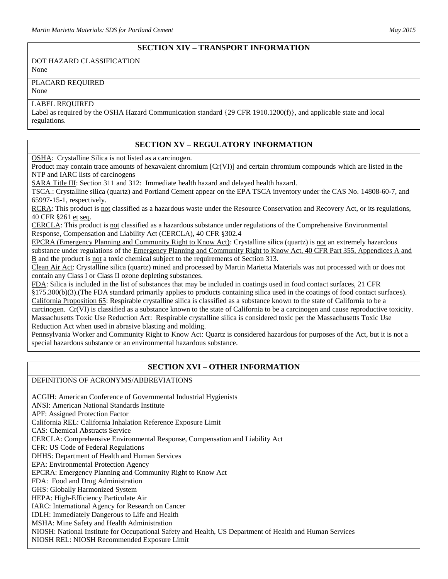#### **SECTION XIV – TRANSPORT INFORMATION**

DOT HAZARD CLASSIFICATION None

# PLACARD REQUIRED

None

#### LABEL REQUIRED

Label as required by the OSHA Hazard Communication standard {29 CFR 1910.1200(f)}, and applicable state and local regulations.

# **SECTION XV – REGULATORY INFORMATION**

OSHA: Crystalline Silica is not listed as a carcinogen.

Product may contain trace amounts of hexavalent chromium [Cr(VI)] and certain chromium compounds which are listed in the NTP and IARC lists of carcinogens

SARA Title III: Section 311 and 312: Immediate health hazard and delayed health hazard.

TSCA.: Crystalline silica (quartz) and Portland Cement appear on the EPA TSCA inventory under the CAS No. 14808-60-7, and 65997-15-1, respectively.

RCRA: This product is not classified as a hazardous waste under the Resource Conservation and Recovery Act, or its regulations, 40 CFR §261 et seq.

CERCLA: This product is not classified as a hazardous substance under regulations of the Comprehensive Environmental Response, Compensation and Liability Act (CERCLA), 40 CFR §302.4

EPCRA (Emergency Planning and Community Right to Know Act): Crystalline silica (quartz) is not an extremely hazardous substance under regulations of the Emergency Planning and Community Right to Know Act, 40 CFR Part 355, Appendices A and B and the product is not a toxic chemical subject to the requirements of Section 313.

Clean Air Act: Crystalline silica (quartz) mined and processed by Martin Marietta Materials was not processed with or does not contain any Class I or Class II ozone depleting substances.

FDA: Silica is included in the list of substances that may be included in coatings used in food contact surfaces, 21 CFR

§175.300(b)(3).(The FDA standard primarily applies to products containing silica used in the coatings of food contact surfaces). California Proposition 65: Respirable crystalline silica is classified as a substance known to the state of California to be a carcinogen. Cr(VI) is classified as a substance known to the state of California to be a carcinogen and cause reproductive toxicity. Massachusetts Toxic Use Reduction Act: Respirable crystalline silica is considered toxic per the Massachusetts Toxic Use Reduction Act when used in abrasive blasting and molding.

Pennsylvania Worker and Community Right to Know Act: Quartz is considered hazardous for purposes of the Act, but it is not a special hazardous substance or an environmental hazardous substance.

# **SECTION XVI – OTHER INFORMATION**

DEFINITIONS OF ACRONYMS/ABBREVIATIONS

ACGIH: American Conference of Governmental Industrial Hygienists ANSI: American National Standards Institute APF: Assigned Protection Factor California REL: California Inhalation Reference Exposure Limit CAS: Chemical Abstracts Service CERCLA: Comprehensive Environmental Response, Compensation and Liability Act CFR: US Code of Federal Regulations DHHS: Department of Health and Human Services EPA: Environmental Protection Agency EPCRA: Emergency Planning and Community Right to Know Act FDA: Food and Drug Administration GHS: Globally Harmonized System HEPA: High-Efficiency Particulate Air IARC: International Agency for Research on Cancer IDLH: Immediately Dangerous to Life and Health MSHA: Mine Safety and Health Administration NIOSH: National Institute for Occupational Safety and Health, US Department of Health and Human Services NIOSH REL: NIOSH Recommended Exposure Limit